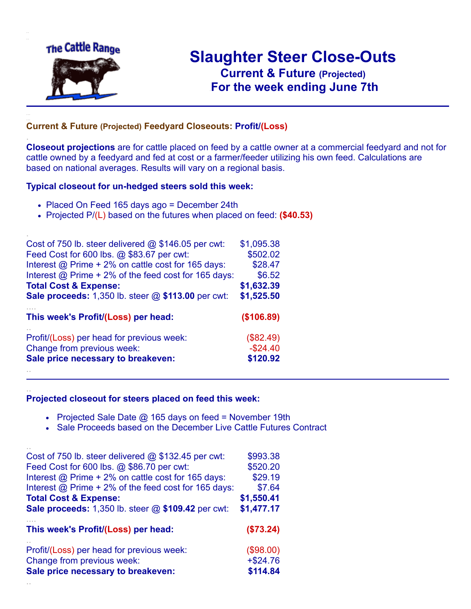

.

..

# **Slaughter Steer Close-Outs Current & Future (Projected)** .**For the week ending June 7th**

### **Current & Future (Projected) Feedyard Closeouts: Profit/(Loss)**

**Closeout projections** are for cattle placed on feed by a cattle owner at a commercial feedyard and not for cattle owned by a feedyard and fed at cost or a farmer/feeder utilizing his own feed. Calculations are based on national averages. Results will vary on a regional basis.

#### **Typical closeout for un-hedged steers sold this week:**

- Placed On Feed 165 days ago = December 24th
- Projected P/(L) based on the futures when placed on feed: **(\$40.53)**

| Cost of 750 lb. steer delivered @ \$146.05 per cwt:         | \$1,095.38 |
|-------------------------------------------------------------|------------|
| Feed Cost for 600 lbs. @ \$83.67 per cwt:                   | \$502.02   |
| Interest @ Prime + 2% on cattle cost for 165 days:          | \$28.47    |
| Interest $@$ Prime + 2% of the feed cost for 165 days:      | \$6.52     |
| <b>Total Cost &amp; Expense:</b>                            | \$1,632.39 |
| <b>Sale proceeds:</b> 1,350 lb. steer $@$ \$113.00 per cwt: | \$1,525.50 |
| This week's Profit/(Loss) per head:                         | (\$106.89) |
| Profit/(Loss) per head for previous week:                   | (\$82.49)  |
| Change from previous week:                                  | $-$24.40$  |
| Sale price necessary to breakeven:                          | \$120.92   |
|                                                             |            |

#### **Projected closeout for steers placed on feed this week:**

- Projected Sale Date  $@$  165 days on feed = November 19th
- Sale Proceeds based on the December Live Cattle Futures Contract

| Cost of 750 lb. steer delivered $@$ \$132.45 per cwt:  | \$993.38   |
|--------------------------------------------------------|------------|
| Feed Cost for 600 lbs. @ \$86.70 per cwt:              | \$520.20   |
| Interest @ Prime + 2% on cattle cost for 165 days:     | \$29.19    |
| Interest $@$ Prime + 2% of the feed cost for 165 days: | \$7.64     |
| <b>Total Cost &amp; Expense:</b>                       | \$1,550.41 |
| Sale proceeds: 1,350 lb. steer @ \$109.42 per cwt:     | \$1,477.17 |
| This week's Profit/(Loss) per head:                    | (\$73.24)  |
| Profit/(Loss) per head for previous week:              | (\$98.00)  |
| Change from previous week:                             | $+ $24.76$ |
| Sale price necessary to breakeven:                     | \$114.84   |
|                                                        |            |